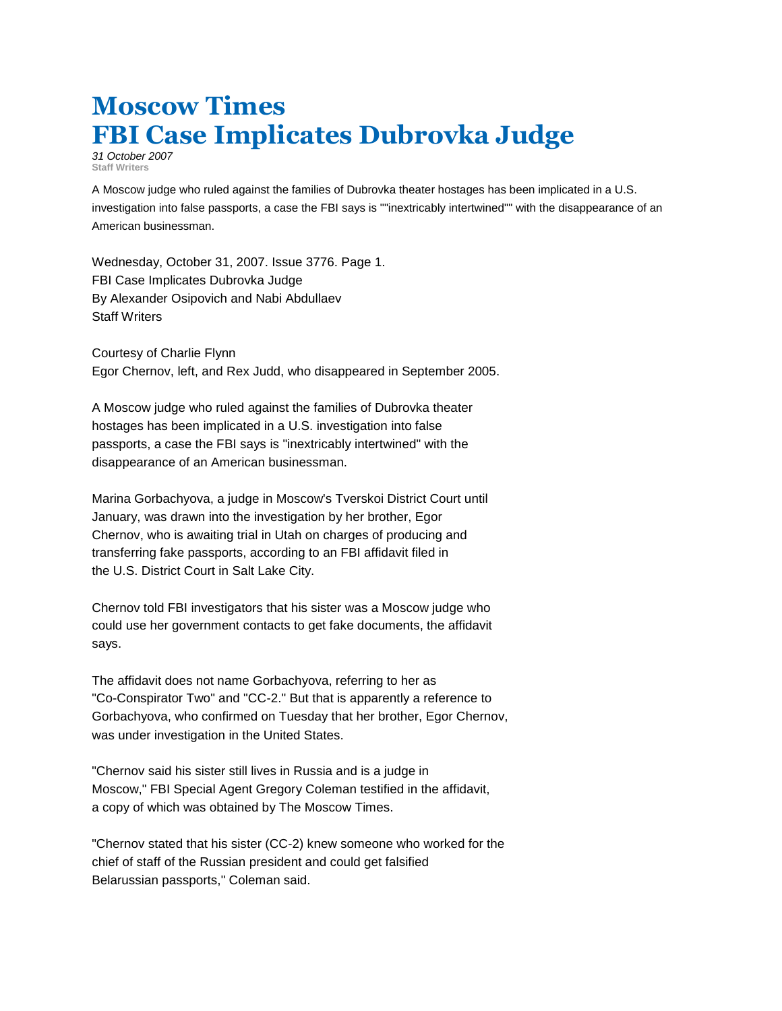## **Moscow Times FBI Case Implicates Dubrovka Judge**

*31 October 2007* **Staff Writers**

A Moscow judge who ruled against the families of Dubrovka theater hostages has been implicated in a U.S. investigation into false passports, a case the FBI says is ""inextricably intertwined"" with the disappearance of an American businessman.

Wednesday, October 31, 2007. Issue 3776. Page 1. FBI Case Implicates Dubrovka Judge By Alexander Osipovich and Nabi Abdullaev Staff Writers

Courtesy of Charlie Flynn Egor Chernov, left, and Rex Judd, who disappeared in September 2005.

A Moscow judge who ruled against the families of Dubrovka theater hostages has been implicated in a U.S. investigation into false passports, a case the FBI says is "inextricably intertwined" with the disappearance of an American businessman.

Marina Gorbachyova, a judge in Moscow's Tverskoi District Court until January, was drawn into the investigation by her brother, Egor Chernov, who is awaiting trial in Utah on charges of producing and transferring fake passports, according to an FBI affidavit filed in the U.S. District Court in Salt Lake City.

Chernov told FBI investigators that his sister was a Moscow judge who could use her government contacts to get fake documents, the affidavit says.

The affidavit does not name Gorbachyova, referring to her as "Co-Conspirator Two" and "CC-2." But that is apparently a reference to Gorbachyova, who confirmed on Tuesday that her brother, Egor Chernov, was under investigation in the United States.

"Chernov said his sister still lives in Russia and is a judge in Moscow," FBI Special Agent Gregory Coleman testified in the affidavit, a copy of which was obtained by The Moscow Times.

"Chernov stated that his sister (CC-2) knew someone who worked for the chief of staff of the Russian president and could get falsified Belarussian passports," Coleman said.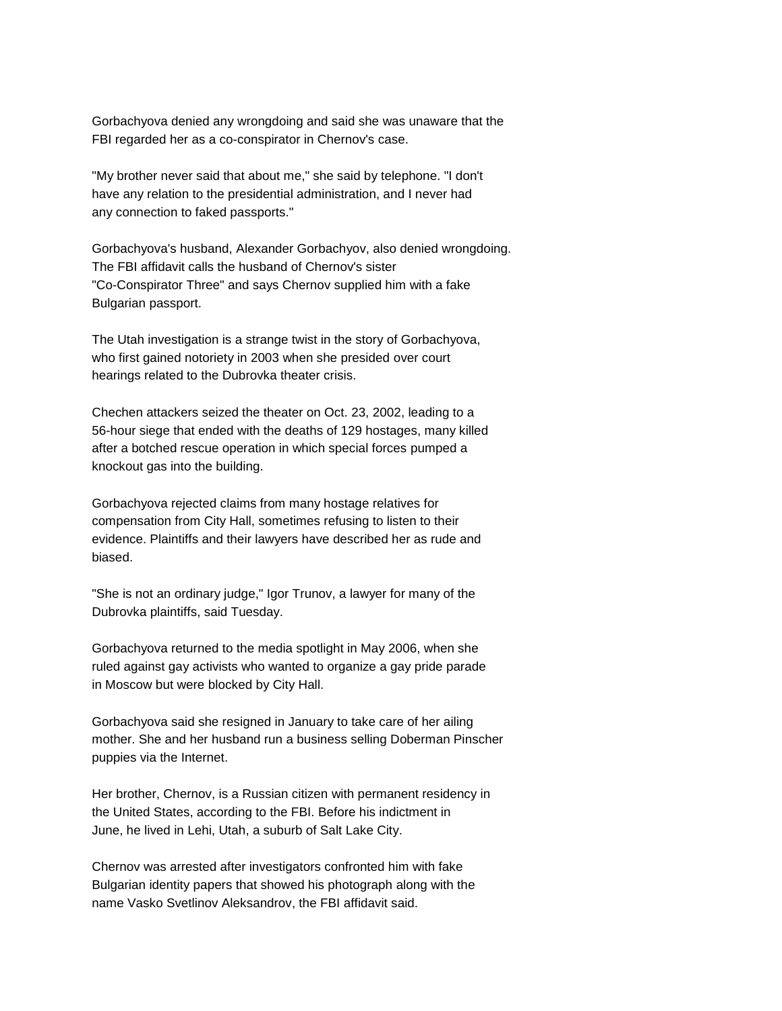Gorbachyova denied any wrongdoing and said she was unaware that the FBI regarded her as a co-conspirator in Chernov's case.

"My brother never said that about me," she said by telephone. "I don't have any relation to the presidential administration, and I never had any connection to faked passports."

Gorbachyova's husband, Alexander Gorbachyov, also denied wrongdoing. The FBI affidavit calls the husband of Chernov's sister "Co-Conspirator Three" and says Chernov supplied him with a fake Bulgarian passport.

The Utah investigation is a strange twist in the story of Gorbachyova, who first gained notoriety in 2003 when she presided over court hearings related to the Dubrovka theater crisis.

Chechen attackers seized the theater on Oct. 23, 2002, leading to a 56-hour siege that ended with the deaths of 129 hostages, many killed after a botched rescue operation in which special forces pumped a knockout gas into the building.

Gorbachyova rejected claims from many hostage relatives for compensation from City Hall, sometimes refusing to listen to their evidence. Plaintiffs and their lawyers have described her as rude and biased.

"She is not an ordinary judge," Igor Trunov, a lawyer for many of the Dubrovka plaintiffs, said Tuesday.

Gorbachyova returned to the media spotlight in May 2006, when she ruled against gay activists who wanted to organize a gay pride parade in Moscow but were blocked by City Hall.

Gorbachyova said she resigned in January to take care of her ailing mother. She and her husband run a business selling Doberman Pinscher puppies via the Internet.

Her brother, Chernov, is a Russian citizen with permanent residency in the United States, according to the FBI. Before his indictment in June, he lived in Lehi, Utah, a suburb of Salt Lake City.

Chernov was arrested after investigators confronted him with fake Bulgarian identity papers that showed his photograph along with the name Vasko Svetlinov Aleksandrov, the FBI affidavit said.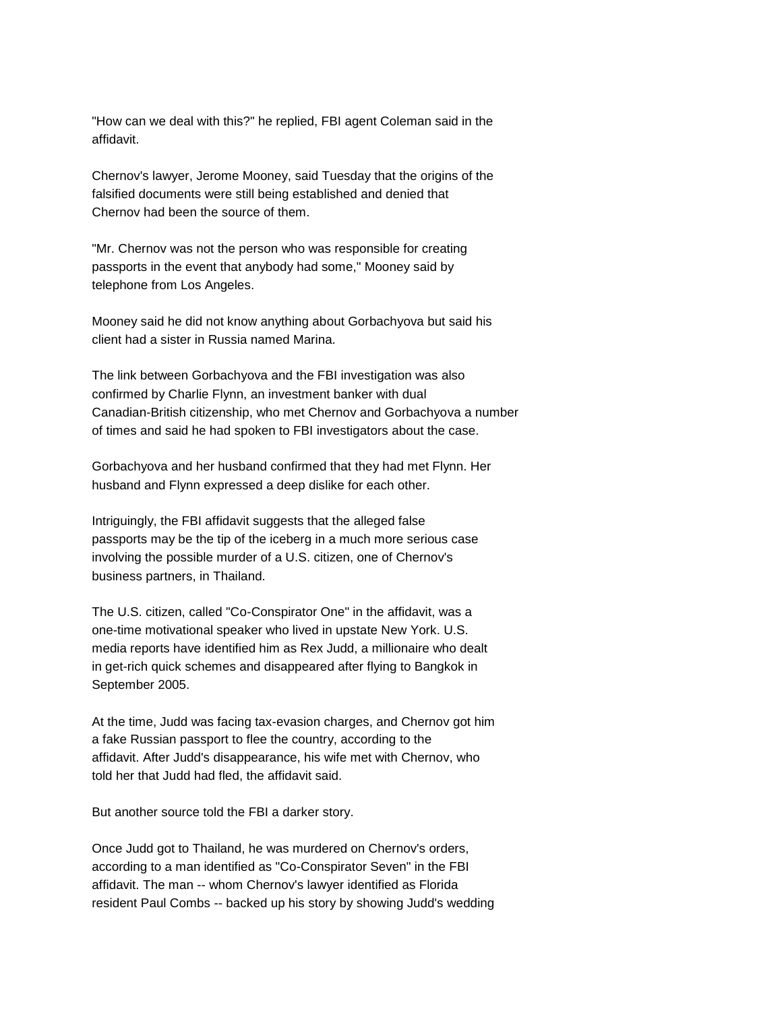"How can we deal with this?" he replied, FBI agent Coleman said in the affidavit.

Chernov's lawyer, Jerome Mooney, said Tuesday that the origins of the falsified documents were still being established and denied that Chernov had been the source of them.

"Mr. Chernov was not the person who was responsible for creating passports in the event that anybody had some," Mooney said by telephone from Los Angeles.

Mooney said he did not know anything about Gorbachyova but said his client had a sister in Russia named Marina.

The link between Gorbachyova and the FBI investigation was also confirmed by Charlie Flynn, an investment banker with dual Canadian-British citizenship, who met Chernov and Gorbachyova a number of times and said he had spoken to FBI investigators about the case.

Gorbachyova and her husband confirmed that they had met Flynn. Her husband and Flynn expressed a deep dislike for each other.

Intriguingly, the FBI affidavit suggests that the alleged false passports may be the tip of the iceberg in a much more serious case involving the possible murder of a U.S. citizen, one of Chernov's business partners, in Thailand.

The U.S. citizen, called "Co-Conspirator One" in the affidavit, was a one-time motivational speaker who lived in upstate New York. U.S. media reports have identified him as Rex Judd, a millionaire who dealt in get-rich quick schemes and disappeared after flying to Bangkok in September 2005.

At the time, Judd was facing tax-evasion charges, and Chernov got him a fake Russian passport to flee the country, according to the affidavit. After Judd's disappearance, his wife met with Chernov, who told her that Judd had fled, the affidavit said.

But another source told the FBI a darker story.

Once Judd got to Thailand, he was murdered on Chernov's orders, according to a man identified as "Co-Conspirator Seven" in the FBI affidavit. The man -- whom Chernov's lawyer identified as Florida resident Paul Combs -- backed up his story by showing Judd's wedding